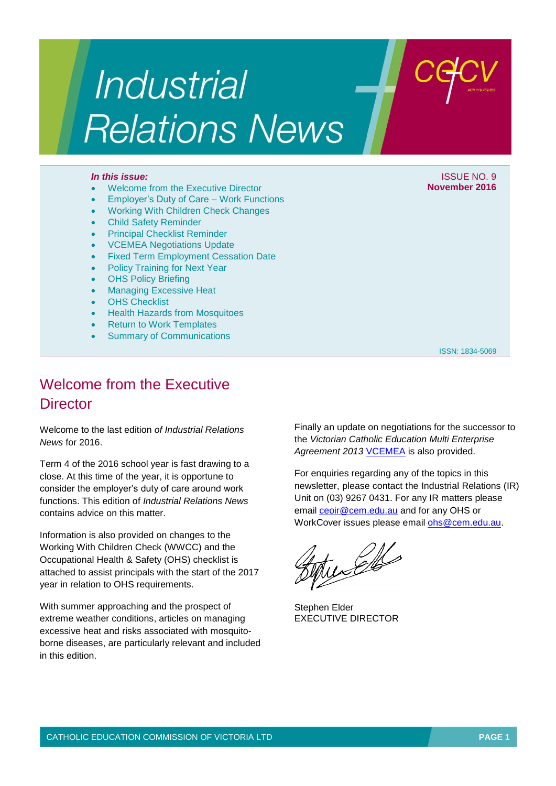# **Industrial Relations News**

### *In this issue:* In this issue: ISSUE NO. 9

- Welcome from the Executive Director
- Employer's Duty of Care Work Functions
- Working With Children Check Changes
- Child Safety Reminder
- Principal Checklist Reminder
- VCEMEA Negotiations Update
- Fixed Term Employment Cessation Date
- Policy Training for Next Year
- OHS Policy Briefing
- Managing Excessive Heat
- **OHS Checklist**
- **Health Hazards from Mosquitoes**
- Return to Work Templates
- Summary of Communications

**November 2016**

ISSN: 1834-5069

# Welcome from the Executive **Director**

Welcome to the last edition *of Industrial Relations News* for 2016.

Term 4 of the 2016 school year is fast drawing to a close. At this time of the year, it is opportune to consider the employer's duty of care around work functions. This edition of *Industrial Relations News* contains advice on this matter.

Information is also provided on changes to the Working With Children Check (WWCC) and the Occupational Health & Safety (OHS) checklist is attached to assist principals with the start of the 2017 year in relation to OHS requirements.

With summer approaching and the prospect of extreme weather conditions, articles on managing excessive heat and risks associated with mosquitoborne diseases, are particularly relevant and included in this edition.

Finally an update on negotiations for the successor to the *Victorian Catholic Education Multi Enterprise Agreement 2013* [VCEMEA](http://www.cecv.catholic.edu.au/vcsa/Agreement_2013/VCEMEA_2013.pdf) is also provided.

For enquiries regarding any of the topics in this newsletter, please contact the Industrial Relations (IR) Unit on (03) 9267 0431. For any IR matters please email [ceoir@cem.edu.au](file:///C:/Users/gpargeter/AppData/Local/Microsoft/Windows/Temporary%20Internet%20Files/Content.Outlook/AppData/Local/Microsoft/Windows/Temporary%20Internet%20Files/Content.Outlook/May/ceoir@cem.edu.au) and for any OHS or WorkCover issues please email [ohs@cem.edu.au.](mailto:ohs@cem.edu.au)

Julio

Stephen Elder EXECUTIVE DIRECTOR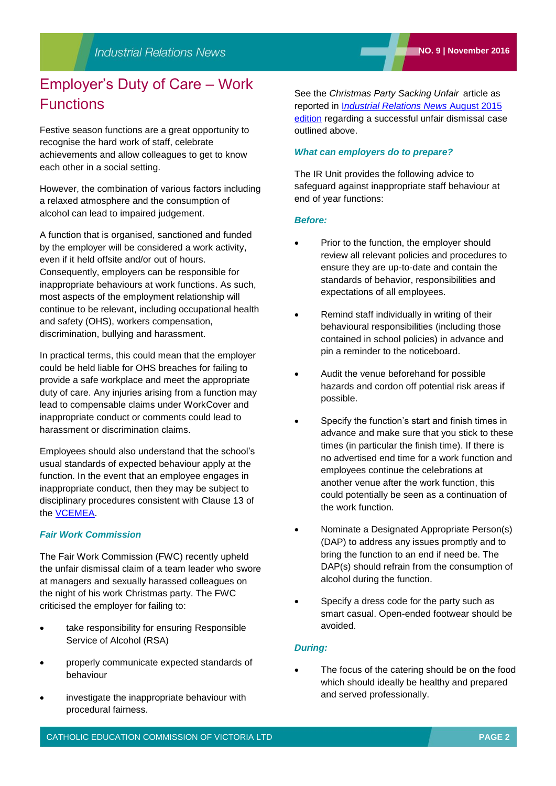Festive season functions are a great opportunity to recognise the hard work of staff, celebrate achievements and allow colleagues to get to know each other in a social setting.

However, the combination of various factors including a relaxed atmosphere and the consumption of alcohol can lead to impaired judgement.

A function that is organised, sanctioned and funded by the employer will be considered a work activity, even if it held offsite and/or out of hours. Consequently, employers can be responsible for inappropriate behaviours at work functions. As such, most aspects of the employment relationship will continue to be relevant, including occupational health and safety (OHS), workers compensation, discrimination, bullying and harassment.

In practical terms, this could mean that the employer could be held liable for OHS breaches for failing to provide a safe workplace and meet the appropriate duty of care. Any injuries arising from a function may lead to compensable claims under WorkCover and inappropriate conduct or comments could lead to harassment or discrimination claims.

Employees should also understand that the school's usual standards of expected behaviour apply at the function. In the event that an employee engages in inappropriate conduct, then they may be subject to disciplinary procedures consistent with Clause 13 of the [VCEMEA.](http://www.cecv.catholic.edu.au/vcsa/Agreement_2013/VCEMEA_2013.pdf)

## *Fair Work Commission*

The Fair Work Commission (FWC) recently upheld the unfair dismissal claim of a team leader who swore at managers and sexually harassed colleagues on the night of his work Christmas party. The FWC criticised the employer for failing to:

- take responsibility for ensuring Responsible Service of Alcohol (RSA)
- properly communicate expected standards of behaviour
- investigate the inappropriate behaviour with procedural fairness.

See the *Christmas Party Sacking Unfair* article as reported in I*[ndustrial Relations News](http://www2.cecv.catholic.edu.au/getmedia/debcc570-1e74-4aaf-9be0-78773e682708/August-2015.aspx)* August 2015 [edition](http://www2.cecv.catholic.edu.au/getmedia/debcc570-1e74-4aaf-9be0-78773e682708/August-2015.aspx) regarding a successful unfair dismissal case outlined above.

## *What can employers do to prepare?*

The IR Unit provides the following advice to safeguard against inappropriate staff behaviour at end of year functions:

#### *Before:*

- Prior to the function, the employer should review all relevant policies and procedures to ensure they are up-to-date and contain the standards of behavior, responsibilities and expectations of all employees.
- Remind staff individually in writing of their behavioural responsibilities (including those contained in school policies) in advance and pin a reminder to the noticeboard.
- Audit the venue beforehand for possible hazards and cordon off potential risk areas if possible.
- Specify the function's start and finish times in advance and make sure that you stick to these times (in particular the finish time). If there is no advertised end time for a work function and employees continue the celebrations at another venue after the work function, this could potentially be seen as a continuation of the work function.
- Nominate a Designated Appropriate Person(s) (DAP) to address any issues promptly and to bring the function to an end if need be. The DAP(s) should refrain from the consumption of alcohol during the function.
- Specify a dress code for the party such as smart casual. Open-ended footwear should be avoided.

## *During:*

 The focus of the catering should be on the food which should ideally be healthy and prepared and served professionally.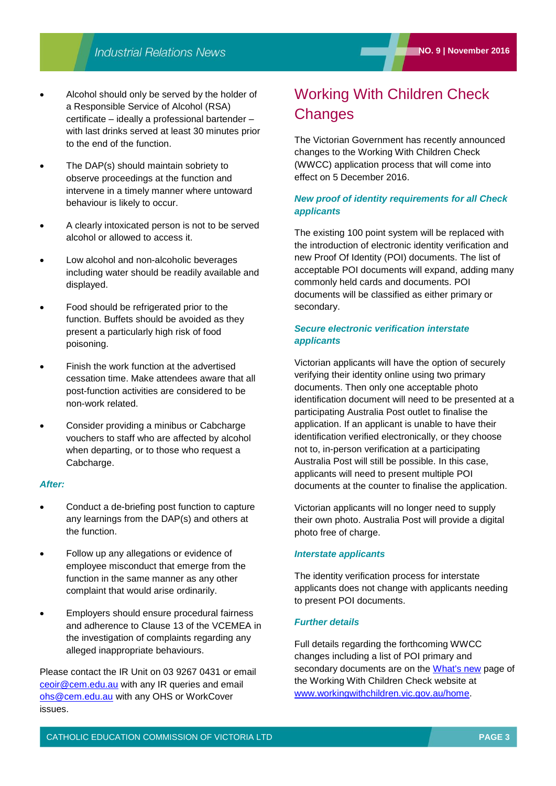- Alcohol should only be served by the holder of a Responsible Service of Alcohol (RSA) certificate – ideally a professional bartender – with last drinks served at least 30 minutes prior to the end of the function.
- The DAP(s) should maintain sobriety to observe proceedings at the function and intervene in a timely manner where untoward behaviour is likely to occur.
- A clearly intoxicated person is not to be served alcohol or allowed to access it.
- Low alcohol and non-alcoholic beverages including water should be readily available and displayed.
- Food should be refrigerated prior to the function. Buffets should be avoided as they present a particularly high risk of food poisoning.
- Finish the work function at the advertised cessation time. Make attendees aware that all post-function activities are considered to be non-work related.
- Consider providing a minibus or Cabcharge vouchers to staff who are affected by alcohol when departing, or to those who request a Cabcharge.

#### *After:*

- Conduct a de-briefing post function to capture any learnings from the DAP(s) and others at the function.
- Follow up any allegations or evidence of employee misconduct that emerge from the function in the same manner as any other complaint that would arise ordinarily.
- Employers should ensure procedural fairness and adherence to Clause 13 of the VCEMEA in the investigation of complaints regarding any alleged inappropriate behaviours.

Please contact the IR Unit on 03 9267 0431 or email [ceoir@cem.edu.au](file:///C:/Users/gpargeter/AppData/Local/Microsoft/Windows/Temporary%20Internet%20Files/Content.Outlook/AppData/Local/Microsoft/Windows/Temporary%20Internet%20Files/Content.Outlook/May/ceoir@cem.edu.au) with any IR queries and email [ohs@cem.edu.au](mailto:ohs@cem.edu.au) with any OHS or WorkCover issues.

# Working With Children Check **Changes**

The Victorian Government has recently announced changes to the Working With Children Check (WWCC) application process that will come into effect on 5 December 2016.

## *New proof of identity requirements for all Check applicants*

The existing 100 point system will be replaced with the introduction of electronic identity verification and new Proof Of Identity (POI) documents. The list of acceptable POI documents will expand, adding many commonly held cards and documents. POI documents will be classified as either primary or secondary.

## *Secure electronic verification interstate applicants*

Victorian applicants will have the option of securely verifying their identity online using two primary documents. Then only one acceptable photo identification document will need to be presented at a participating Australia Post outlet to finalise the application. If an applicant is unable to have their identification verified electronically, or they choose not to, in-person verification at a participating Australia Post will still be possible. In this case, applicants will need to present multiple POI documents at the counter to finalise the application.

Victorian applicants will no longer need to supply their own photo. Australia Post will provide a digital photo free of charge.

#### *Interstate applicants*

The identity verification process for interstate applicants does not change with applicants needing to present POI documents.

#### *Further details*

Full details regarding the forthcoming WWCC changes including a list of POI primary and secondary documents are on the [What's new](http://www.workingwithchildren.vic.gov.au/home/about+the+check/whats+new/?utm_source=TractionNext&utm_medium=Email&utm_campaign=New+application+process+campaign) page of the Working With Children Check website at [www.workingwithchildren.vic.gov.au/home.](http://www.workingwithchildren.vic.gov.au/home/)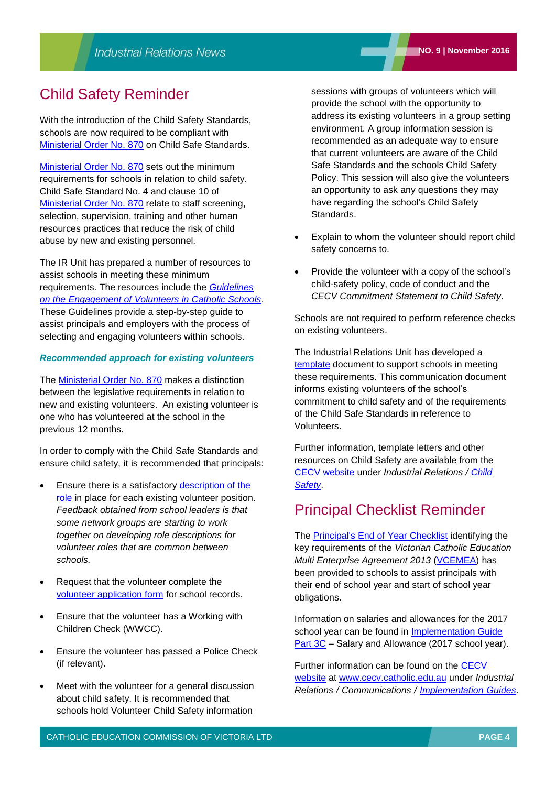## Child Safety Reminder

With the introduction of the Child Safety Standards, schools are now required to be compliant with [Ministerial Order No.](http://www.gazette.vic.gov.au/gazette/Gazettes2016/GG2016S002.pdf) 870 on Child Safe Standards.

[Ministerial Order No.](http://www.gazette.vic.gov.au/gazette/Gazettes2016/GG2016S002.pdf) 870 sets out the minimum requirements for schools in relation to child safety. Child Safe Standard No. 4 and clause 10 of [Ministerial Order No.](http://www.gazette.vic.gov.au/gazette/Gazettes2016/GG2016S002.pdf) 870 relate to staff screening, selection, supervision, training and other human resources practices that reduce the risk of child abuse by new and existing personnel.

The IR Unit has prepared a number of resources to assist schools in meeting these minimum requirements. The resources include the *[Guidelines](http://www.cecv.catholic.edu.au/getmedia/14f0d67b-fb34-48eb-bd2c-0a32688b1a96/Volunteer-Guidelines.aspx)  [on the Engagement of Volunteers in Catholic Schools](http://www.cecv.catholic.edu.au/getmedia/14f0d67b-fb34-48eb-bd2c-0a32688b1a96/Volunteer-Guidelines.aspx)*. These Guidelines provide a step-by-step guide to assist principals and employers with the process of selecting and engaging volunteers within schools.

#### *Recommended approach for existing volunteers*

The [Ministerial Order No. 870](http://www.cecv.catholic.edu.au/Industrial-Relations/Communications) makes a distinction between the legislative requirements in relation to new and existing volunteers. An existing volunteer is one who has volunteered at the school in the previous 12 months.

In order to comply with the Child Safe Standards and ensure child safety, it is recommended that principals:

- Ensure there is a satisfactory [description of the](http://www.cecv.catholic.edu.au/Industrial-Relations/Communications/Volunteers)  [role](http://www.cecv.catholic.edu.au/Industrial-Relations/Communications/Volunteers) in place for each existing volunteer position. *Feedback obtained from school leaders is that some network groups are starting to work together on developing role descriptions for volunteer roles that are common between schools.*
- Request that the volunteer complete the [volunteer application form](http://www.cecv.catholic.edu.au/Industrial-Relations/Communications/Volunteers) for school records.
- Ensure that the volunteer has a Working with Children Check (WWCC).
- Ensure the volunteer has passed a Police Check (if relevant).
- Meet with the volunteer for a general discussion about child safety. It is recommended that schools hold Volunteer Child Safety information

sessions with groups of volunteers which will provide the school with the opportunity to address its existing volunteers in a group setting environment. A group information session is recommended as an adequate way to ensure that current volunteers are aware of the Child Safe Standards and the schools Child Safety Policy. This session will also give the volunteers an opportunity to ask any questions they may have regarding the school's Child Safety Standards.

- Explain to whom the volunteer should report child safety concerns to.
- Provide the volunteer with a copy of the school's child-safety policy, code of conduct and the *CECV Commitment Statement to Child Safety*.

Schools are not required to perform reference checks on existing volunteers.

The Industrial Relations Unit has developed a [template](http://www.cecv.catholic.edu.au/getmedia/40545692-84ce-4c94-b4a0-66ed3da425f2/Example-correspondence-to-existing-volunteers.aspx) document to support schools in meeting these requirements. This communication document informs existing volunteers of the school's commitment to child safety and of the requirements of the Child Safe Standards in reference to Volunteers.

Further information, template letters and other resources on Child Safety are available from the [CECV website](http://www.cecv.catholic.edu.au/Industrial-Relations/Communications/Implementation-Guides) under *Industrial Relations / [Child](http://www.cecv.catholic.edu.au/Industrial-Relations/Communications)  [Safety](http://www.cecv.catholic.edu.au/Industrial-Relations/Communications)*.

## Principal Checklist Reminder

The **Principal's End of Year Checklist** identifying the key requirements of the *Victorian Catholic Education Multi Enterprise Agreement 2013* [\(VCEMEA\)](http://www.cecv.catholic.edu.au/getmedia/e728ccbb-dac1-4822-9607-7c5cb8abdae9/VCEMEA_2013.aspx) has been provided to schools to assist principals with their end of school year and start of school year obligations.

Information on salaries and allowances for the 2017 school year can be found in [Implementation Guide](http://www.cecv.catholic.edu.au/getmedia/9e5b828e-4f80-4934-b3c2-a27b3c87c47b/Implementation-Guide-Part-3C.aspx)  [Part 3C](http://www.cecv.catholic.edu.au/getmedia/9e5b828e-4f80-4934-b3c2-a27b3c87c47b/Implementation-Guide-Part-3C.aspx) – Salary and Allowance (2017 school year).

Further information can be found on the [CECV](http://www.cecv.catholic.edu.au/Industrial-Relations/Communications/Implementation-Guides)  [website](http://www.cecv.catholic.edu.au/Industrial-Relations/Communications/Implementation-Guides) at [www.cecv.catholic.edu.au](http://www.cecv.catholic.edu.au/) under *Industrial Relations / Communications / [Implementation Guides](http://www.cecv.catholic.edu.au/Industrial-Relations/Communications/Implementation-Guides)*.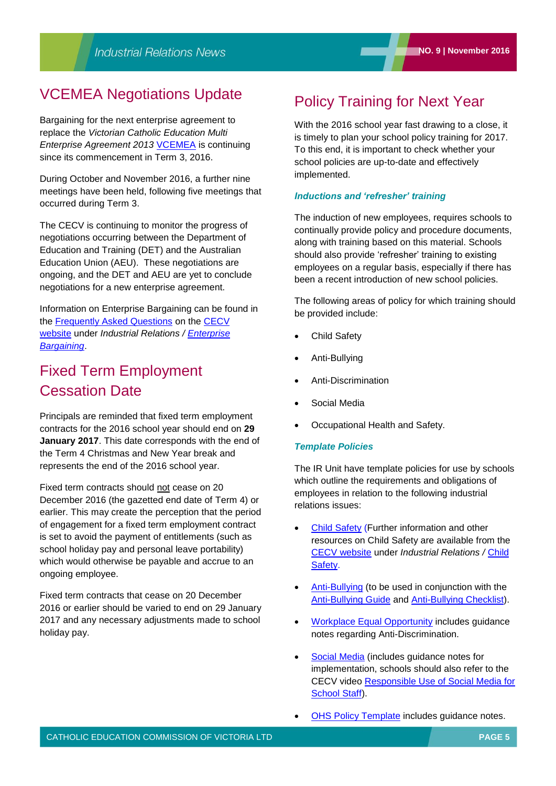## VCEMEA Negotiations Update

Bargaining for the next enterprise agreement to replace the *Victorian Catholic Education Multi Enterprise Agreement 2013* [VCEMEA](http://www.cecv.catholic.edu.au/getmedia/e728ccbb-dac1-4822-9607-7c5cb8abdae9/VCEMEA_2013.aspx) is continuing since its commencement in Term 3, 2016.

During October and November 2016, a further nine meetings have been held, following five meetings that occurred during Term 3.

The CECV is continuing to monitor the progress of negotiations occurring between the Department of Education and Training (DET) and the Australian Education Union (AEU). These negotiations are ongoing, and the DET and AEU are yet to conclude negotiations for a new enterprise agreement.

Information on Enterprise Bargaining can be found in the [Frequently Asked Questions](http://www.cecv.catholic.edu.au/Industrial-Relations/EB/Enterprise-Bargaining-Frequently-Asked-Questions) on the [CECV](http://www.cecv.catholic.edu.au/Industrial-Relations/Communications/Implementation-Guides)  [website](http://www.cecv.catholic.edu.au/Industrial-Relations/Communications/Implementation-Guides) under *Industrial Relations / [Enterprise](http://www.cecv.catholic.edu.au/Industrial-Relations/EB/Enterprise-Bargaining-Frequently-Asked-Questions)  [Bargaining](http://www.cecv.catholic.edu.au/Industrial-Relations/EB/Enterprise-Bargaining-Frequently-Asked-Questions)*.

# Fixed Term Employment Cessation Date

Principals are reminded that fixed term employment contracts for the 2016 school year should end on **29 January 2017**. This date corresponds with the end of the Term 4 Christmas and New Year break and represents the end of the 2016 school year.

Fixed term contracts should not cease on 20 December 2016 (the gazetted end date of Term 4) or earlier. This may create the perception that the period of engagement for a fixed term employment contract is set to avoid the payment of entitlements (such as school holiday pay and personal leave portability) which would otherwise be payable and accrue to an ongoing employee.

Fixed term contracts that cease on 20 December 2016 or earlier should be varied to end on 29 January 2017 and any necessary adjustments made to school holiday pay.

## Policy Training for Next Year

With the 2016 school year fast drawing to a close, it is timely to plan your school policy training for 2017. To this end, it is important to check whether your school policies are up-to-date and effectively implemented.

### *Inductions and 'refresher' training*

The induction of new employees, requires schools to continually provide policy and procedure documents, along with training based on this material. Schools should also provide 'refresher' training to existing employees on a regular basis, especially if there has been a recent introduction of new school policies.

The following areas of policy for which training should be provided include:

- Child Safety
- Anti-Bullying
- Anti-Discrimination
- Social Media
- Occupational Health and Safety.

## *Template Policies*

The IR Unit have template policies for use by schools which outline the requirements and obligations of employees in relation to the following industrial relations issues:

- [Child Safety](http://www.cecv.catholic.edu.au/Industrial-Relations/Communications) (Further information and other resources on Child Safety are available from the [CECV website](http://www.cecv.catholic.edu.au/Industrial-Relations/Communications/Implementation-Guides) under *Industrial Relations /* [Child](http://www.cecv.catholic.edu.au/Industrial-Relations/Communications)  [Safety.](http://www.cecv.catholic.edu.au/Industrial-Relations/Communications)
- [Anti-Bullying](http://www.cecv.catholic.edu.au/getmedia/25318eeb-1acc-4dca-9949-b6868a8e79ab/Anti-Bullying-Policy.aspx) (to be used in conjunction with the [Anti-Bullying Guide](http://www2.cecv.catholic.edu.au/getmedia/9464d58d-cec8-4fce-8f8b-fb3643e00802/Anti-Bullying-Guide.aspx) and [Anti-Bullying Checklist\)](http://www2.cecv.catholic.edu.au/getmedia/1d0c5f60-927a-4af9-bd37-e9e0cac9ded7/Workplace-Anti-Bullying-Procedure-Checklist.aspx).
- [Workplace Equal Opportunity](http://www.cecv.catholic.edu.au/getmedia/6b98aeb6-fc68-4827-af53-5c57c9a63919/Workplace-Equal-Opportunity-Policy-for-Staff.aspx) includes guidance notes regarding Anti-Discrimination.
- [Social Media](http://www.cecv.catholic.edu.au/getmedia/fa005a1a-4c5b-4dbe-a538-672807ecd895/Template-Social-Media-Policy.aspx) (includes guidance notes for implementation, schools should also refer to the CECV video [Responsible Use of Social Media for](https://youtu.be/yo6oyHHGv6U)  [School Staff\)](https://youtu.be/yo6oyHHGv6U).
- [OHS Policy Template](http://www.cecv.catholic.edu.au/getmedia/aeccf9e1-f118-47c2-961c-325abc142521/OHS-policy-Template.aspx) includes guidance notes.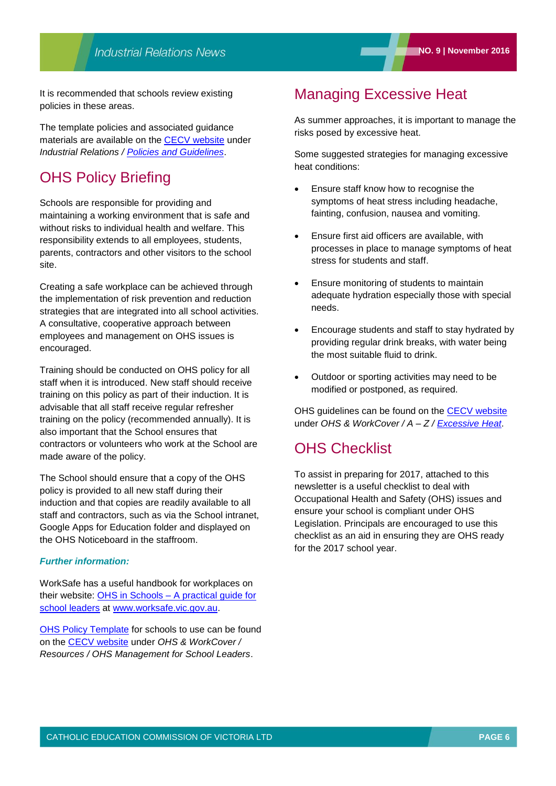It is recommended that schools review existing policies in these areas.

The template policies and associated guidance materials are available on the [CECV website](http://www.cecv.catholic.edu.au/) under *Industrial Relations / [Policies and Guidelines](http://www.cecv.catholic.edu.au/Industrial-Relations/Policies-and-Guidelines)*.

## OHS Policy Briefing

Schools are responsible for providing and maintaining a working environment that is safe and without risks to individual health and welfare. This responsibility extends to all employees, students, parents, contractors and other visitors to the school site.

Creating a safe workplace can be achieved through the implementation of risk prevention and reduction strategies that are integrated into all school activities. A consultative, cooperative approach between employees and management on OHS issues is encouraged.

Training should be conducted on OHS policy for all staff when it is introduced. New staff should receive training on this policy as part of their induction. It is advisable that all staff receive regular refresher training on the policy (recommended annually). It is also important that the School ensures that contractors or volunteers who work at the School are made aware of the policy.

The School should ensure that a copy of the OHS policy is provided to all new staff during their induction and that copies are readily available to all staff and contractors, such as via the School intranet, Google Apps for Education folder and displayed on the OHS Noticeboard in the staffroom.

### *Further information:*

WorkSafe has a useful handbook for workplaces on their website: OHS in Schools – [A practical guide for](https://www.worksafe.vic.gov.au/__data/assets/pdf_file/0009/9855/OHS-in-schools-web.pdf)  [school leaders](https://www.worksafe.vic.gov.au/__data/assets/pdf_file/0009/9855/OHS-in-schools-web.pdf) at [www.worksafe.vic.gov.au.](http://www.worksafe.vic.gov.au/)

[OHS Policy Template](http://www.cecv.catholic.edu.au/getmedia/aeccf9e1-f118-47c2-961c-325abc142521/OHS-policy-Template.aspx) for schools to use can be found on the [CECV website](http://www.cecv.catholic.edu.au/Industrial-Relations/Communications/Implementation-Guides) under *OHS & WorkCover / Resources / OHS Management for School Leaders*.

# Managing Excessive Heat

As summer approaches, it is important to manage the risks posed by excessive heat.

Some suggested strategies for managing excessive heat conditions:

- Ensure staff know how to recognise the symptoms of heat stress including headache, fainting, confusion, nausea and vomiting.
- Ensure first aid officers are available, with processes in place to manage symptoms of heat stress for students and staff.
- Ensure monitoring of students to maintain adequate hydration especially those with special needs.
- Encourage students and staff to stay hydrated by providing regular drink breaks, with water being the most suitable fluid to drink.
- Outdoor or sporting activities may need to be modified or postponed, as required.

OHS guidelines can be found on the [CECV website](http://www.cecv.catholic.edu.au/Industrial-Relations/Communications/Implementation-Guides) under *OHS & WorkCover / A – Z / [Excessive Heat](http://www.cecv.catholic.edu.au/OHS-WorkCover/Resources/Outdoor-Areas/Managing-Excessive-Heat)*.

## OHS Checklist

To assist in preparing for 2017, attached to this newsletter is a useful checklist to deal with Occupational Health and Safety (OHS) issues and ensure your school is compliant under OHS Legislation. Principals are encouraged to use this checklist as an aid in ensuring they are OHS ready for the 2017 school year.